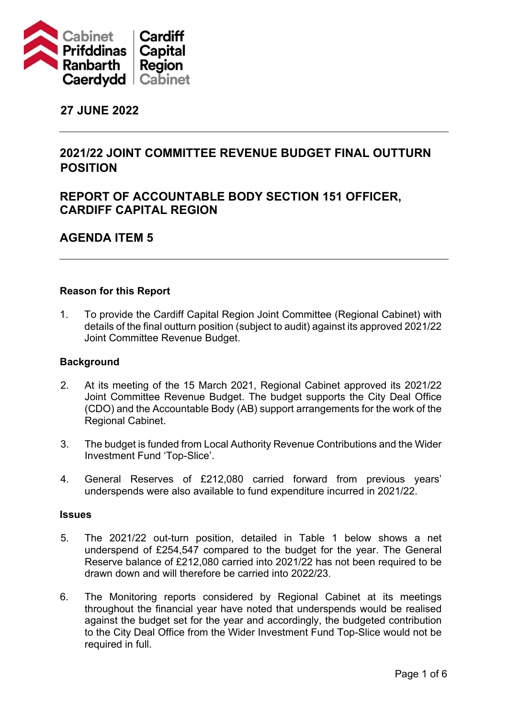

# **27 JUNE 2022**

# **2021/22 JOINT COMMITTEE REVENUE BUDGET FINAL OUTTURN POSITION**

# **REPORT OF ACCOUNTABLE BODY SECTION 151 OFFICER, CARDIFF CAPITAL REGION**

# **AGENDA ITEM 5**

## **Reason for this Report**

1. To provide the Cardiff Capital Region Joint Committee (Regional Cabinet) with details of the final outturn position (subject to audit) against its approved 2021/22 Joint Committee Revenue Budget.

#### **Background**

- 2. At its meeting of the 15 March 2021, Regional Cabinet approved its 2021/22 Joint Committee Revenue Budget. The budget supports the City Deal Office (CDO) and the Accountable Body (AB) support arrangements for the work of the Regional Cabinet.
- 3. The budget is funded from Local Authority Revenue Contributions and the Wider Investment Fund 'Top-Slice'.
- 4. General Reserves of £212,080 carried forward from previous years' underspends were also available to fund expenditure incurred in 2021/22.

#### **Issues**

- 5. The 2021/22 out-turn position, detailed in Table 1 below shows a net underspend of £254,547 compared to the budget for the year. The General Reserve balance of £212,080 carried into 2021/22 has not been required to be drawn down and will therefore be carried into 2022/23.
- 6. The Monitoring reports considered by Regional Cabinet at its meetings throughout the financial year have noted that underspends would be realised against the budget set for the year and accordingly, the budgeted contribution to the City Deal Office from the Wider Investment Fund Top-Slice would not be required in full.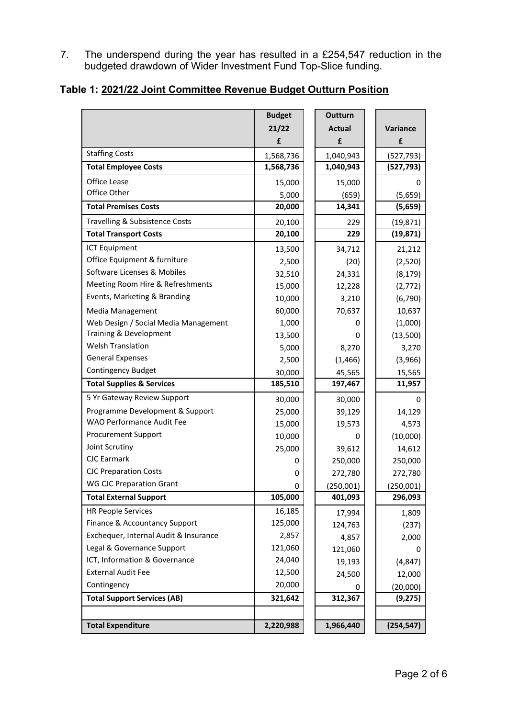7. The underspend during the year has resulted in a £254,547 reduction in the budgeted drawdown of Wider Investment Fund Top-Slice funding.

# **Table 1: 2021/22 Joint Committee Revenue Budget Outturn Position**

|                                       | <b>Budget</b> | <b>Outturn</b> |            |
|---------------------------------------|---------------|----------------|------------|
|                                       | 21/22         | <b>Actual</b>  | Variance   |
|                                       | £             | £              | £          |
| <b>Staffing Costs</b>                 | 1,568,736     | 1,040,943      | (527, 793) |
| <b>Total Employee Costs</b>           | 1,568,736     | 1,040,943      | (527, 793) |
| Office Lease                          | 15,000        | 15,000         | 0          |
| Office Other                          | 5,000         | (659)          | (5,659)    |
| <b>Total Premises Costs</b>           | 20,000        | 14,341         | (5,659)    |
| Travelling & Subsistence Costs        | 20,100        | 229            | (19, 871)  |
| <b>Total Transport Costs</b>          | 20,100        | 229            | (19, 871)  |
| <b>ICT Equipment</b>                  | 13,500        | 34,712         | 21,212     |
| Office Equipment & furniture          | 2,500         | (20)           | (2,520)    |
| Software Licenses & Mobiles           | 32,510        | 24,331         | (8, 179)   |
| Meeting Room Hire & Refreshments      | 15,000        | 12,228         | (2, 772)   |
| Events, Marketing & Branding          | 10,000        | 3,210          | (6, 790)   |
| <b>Media Management</b>               | 60,000        | 70,637         | 10,637     |
| Web Design / Social Media Management  | 1,000         | 0              | (1,000)    |
| Training & Development                | 13,500        | 0              | (13,500)   |
| <b>Welsh Translation</b>              | 5,000         | 8,270          | 3,270      |
| <b>General Expenses</b>               | 2,500         | (1, 466)       | (3,966)    |
| <b>Contingency Budget</b>             | 30,000        | 45,565         | 15,565     |
| <b>Total Supplies &amp; Services</b>  | 185,510       | 197,467        | 11,957     |
| 5 Yr Gateway Review Support           | 30,000        | 30,000         | 0          |
| Programme Development & Support       | 25,000        | 39,129         | 14,129     |
| WAO Performance Audit Fee             | 15,000        | 19,573         | 4,573      |
| <b>Procurement Support</b>            | 10,000        | 0              | (10,000)   |
| Joint Scrutiny                        | 25,000        | 39,612         | 14,612     |
| <b>CJC Earmark</b>                    | 0             | 250,000        | 250,000    |
| <b>CJC Preparation Costs</b>          | 0             | 272,780        | 272,780    |
| <b>WG CJC Preparation Grant</b>       | 0             | (250,001)      | (250,001)  |
| <b>Total External Support</b>         | 105,000       | 401,093        | 296,093    |
| <b>HR People Services</b>             | 16,185        | 17,994         | 1,809      |
| Finance & Accountancy Support         | 125,000       | 124,763        | (237)      |
| Exchequer, Internal Audit & Insurance | 2,857         | 4,857          | 2,000      |
| Legal & Governance Support            | 121,060       | 121,060        | 0          |
| ICT, Information & Governance         | 24,040        | 19,193         | (4, 847)   |
| <b>External Audit Fee</b>             | 12,500        | 24,500         | 12,000     |
| Contingency                           | 20,000        |                | (20,000)   |
| <b>Total Support Services (AB)</b>    | 321,642       | 312,367        | (9, 275)   |
|                                       |               |                |            |
| <b>Total Expenditure</b>              | 2,220,988     | 1,966,440      | (254, 547) |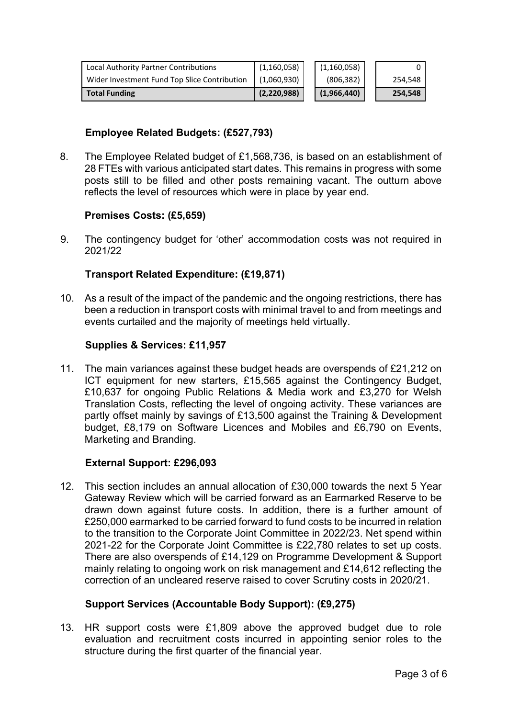| Local Authority Partner Contributions        | (1, 160, 058) | (1, 160, 058) |         |
|----------------------------------------------|---------------|---------------|---------|
| Wider Investment Fund Top Slice Contribution | (1,060,930)   | (806, 382)    | 254,548 |
| <b>Total Funding</b>                         | (2, 220, 988) | (1,966,440)   | 254,548 |

# **Employee Related Budgets: (£527,793)**

8. The Employee Related budget of £1,568,736, is based on an establishment of 28 FTEs with various anticipated start dates. This remains in progress with some posts still to be filled and other posts remaining vacant. The outturn above reflects the level of resources which were in place by year end.

## **Premises Costs: (£5,659)**

9. The contingency budget for 'other' accommodation costs was not required in 2021/22

# **Transport Related Expenditure: (£19,871)**

10. As a result of the impact of the pandemic and the ongoing restrictions, there has been a reduction in transport costs with minimal travel to and from meetings and events curtailed and the majority of meetings held virtually.

## **Supplies & Services: £11,957**

11. The main variances against these budget heads are overspends of £21,212 on ICT equipment for new starters, £15,565 against the Contingency Budget, £10,637 for ongoing Public Relations & Media work and £3,270 for Welsh Translation Costs, reflecting the level of ongoing activity. These variances are partly offset mainly by savings of £13,500 against the Training & Development budget, £8,179 on Software Licences and Mobiles and £6,790 on Events, Marketing and Branding.

# **External Support: £296,093**

12. This section includes an annual allocation of £30,000 towards the next 5 Year Gateway Review which will be carried forward as an Earmarked Reserve to be drawn down against future costs. In addition, there is a further amount of £250,000 earmarked to be carried forward to fund costs to be incurred in relation to the transition to the Corporate Joint Committee in 2022/23. Net spend within 2021-22 for the Corporate Joint Committee is £22,780 relates to set up costs. There are also overspends of £14,129 on Programme Development & Support mainly relating to ongoing work on risk management and £14,612 reflecting the correction of an uncleared reserve raised to cover Scrutiny costs in 2020/21.

# **Support Services (Accountable Body Support): (£9,275)**

13. HR support costs were £1,809 above the approved budget due to role evaluation and recruitment costs incurred in appointing senior roles to the structure during the first quarter of the financial year.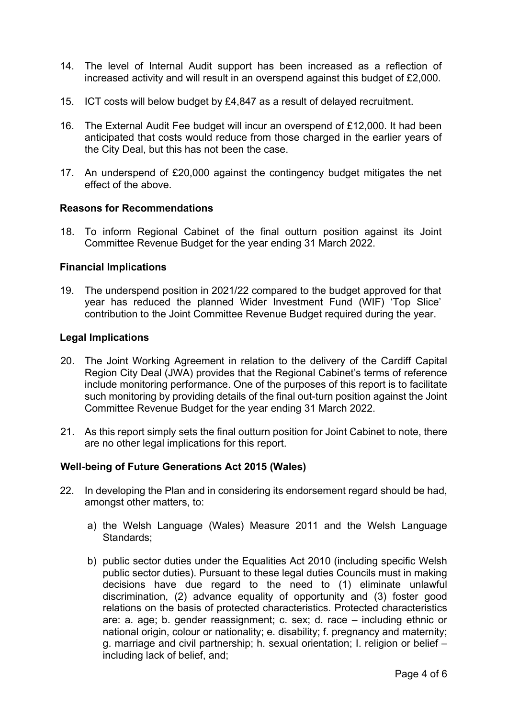- 14. The level of Internal Audit support has been increased as a reflection of increased activity and will result in an overspend against this budget of £2,000.
- 15. ICT costs will below budget by £4,847 as a result of delayed recruitment.
- 16. The External Audit Fee budget will incur an overspend of £12,000. It had been anticipated that costs would reduce from those charged in the earlier years of the City Deal, but this has not been the case.
- 17. An underspend of £20,000 against the contingency budget mitigates the net effect of the above.

#### **Reasons for Recommendations**

18. To inform Regional Cabinet of the final outturn position against its Joint Committee Revenue Budget for the year ending 31 March 2022.

#### **Financial Implications**

19. The underspend position in 2021/22 compared to the budget approved for that year has reduced the planned Wider Investment Fund (WIF) 'Top Slice' contribution to the Joint Committee Revenue Budget required during the year.

#### **Legal Implications**

- 20. The Joint Working Agreement in relation to the delivery of the Cardiff Capital Region City Deal (JWA) provides that the Regional Cabinet's terms of reference include monitoring performance. One of the purposes of this report is to facilitate such monitoring by providing details of the final out-turn position against the Joint Committee Revenue Budget for the year ending 31 March 2022.
- 21. As this report simply sets the final outturn position for Joint Cabinet to note, there are no other legal implications for this report.

# **Well-being of Future Generations Act 2015 (Wales)**

- 22. In developing the Plan and in considering its endorsement regard should be had, amongst other matters, to:
	- a) the Welsh Language (Wales) Measure 2011 and the Welsh Language Standards:
	- b) public sector duties under the Equalities Act 2010 (including specific Welsh public sector duties). Pursuant to these legal duties Councils must in making decisions have due regard to the need to (1) eliminate unlawful discrimination, (2) advance equality of opportunity and (3) foster good relations on the basis of protected characteristics. Protected characteristics are: a. age; b. gender reassignment; c. sex; d. race – including ethnic or national origin, colour or nationality; e. disability; f. pregnancy and maternity; g. marriage and civil partnership; h. sexual orientation; I. religion or belief – including lack of belief, and;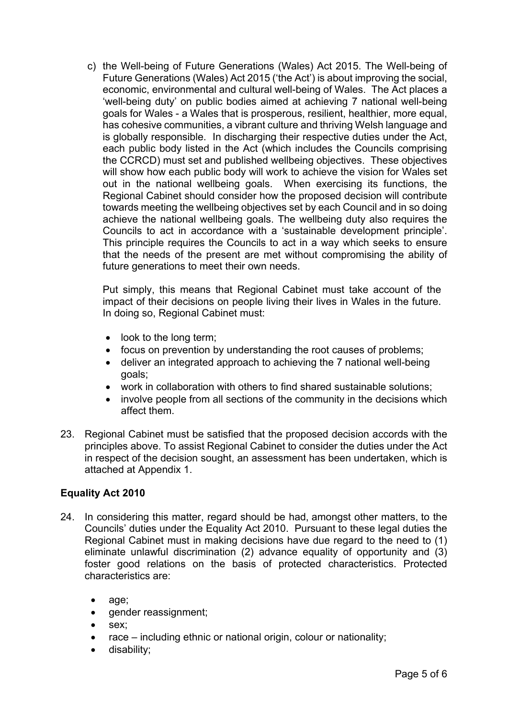c) the Well-being of Future Generations (Wales) Act 2015. The Well-being of Future Generations (Wales) Act 2015 ('the Act') is about improving the social, economic, environmental and cultural well-being of Wales. The Act places a 'well-being duty' on public bodies aimed at achieving 7 national well-being goals for Wales - a Wales that is prosperous, resilient, healthier, more equal, has cohesive communities, a vibrant culture and thriving Welsh language and is globally responsible. In discharging their respective duties under the Act, each public body listed in the Act (which includes the Councils comprising the CCRCD) must set and published wellbeing objectives. These objectives will show how each public body will work to achieve the vision for Wales set out in the national wellbeing goals. When exercising its functions, the Regional Cabinet should consider how the proposed decision will contribute towards meeting the wellbeing objectives set by each Council and in so doing achieve the national wellbeing goals. The wellbeing duty also requires the Councils to act in accordance with a 'sustainable development principle'. This principle requires the Councils to act in a way which seeks to ensure that the needs of the present are met without compromising the ability of future generations to meet their own needs.

Put simply, this means that Regional Cabinet must take account of the impact of their decisions on people living their lives in Wales in the future. In doing so, Regional Cabinet must:

- look to the long term;
- focus on prevention by understanding the root causes of problems;
- deliver an integrated approach to achieving the 7 national well-being goals;
- work in collaboration with others to find shared sustainable solutions;
- involve people from all sections of the community in the decisions which affect them.
- 23. Regional Cabinet must be satisfied that the proposed decision accords with the principles above. To assist Regional Cabinet to consider the duties under the Act in respect of the decision sought, an assessment has been undertaken, which is attached at Appendix 1.

# **Equality Act 2010**

- 24. In considering this matter, regard should be had, amongst other matters, to the Councils' duties under the Equality Act 2010. Pursuant to these legal duties the Regional Cabinet must in making decisions have due regard to the need to (1) eliminate unlawful discrimination (2) advance equality of opportunity and (3) foster good relations on the basis of protected characteristics. Protected characteristics are:
	- age;
	- gender reassignment;
	- sex:
	- race including ethnic or national origin, colour or nationality;
	- disability;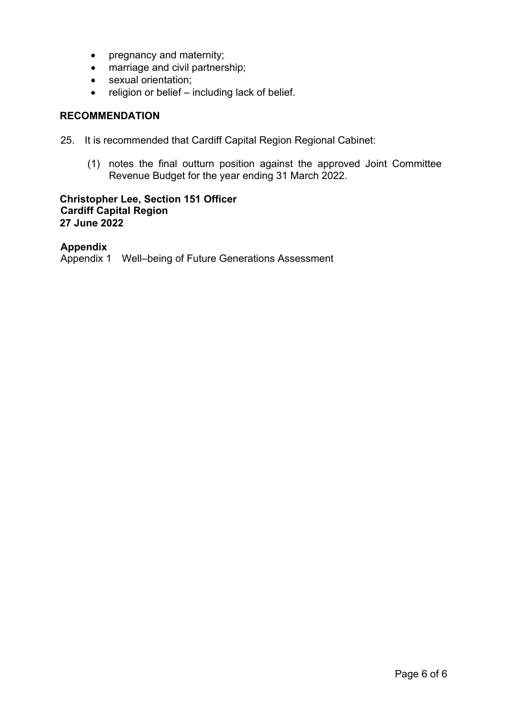- pregnancy and maternity;
- marriage and civil partnership;
- sexual orientation;
- religion or belief including lack of belief.

# **RECOMMENDATION**

- 25. It is recommended that Cardiff Capital Region Regional Cabinet:
	- (1) notes the final outturn position against the approved Joint Committee Revenue Budget for the year ending 31 March 2022.

## **Christopher Lee, Section 151 Officer Cardiff Capital Region 27 June 2022**

# **Appendix**

Appendix 1 Well–being of Future Generations Assessment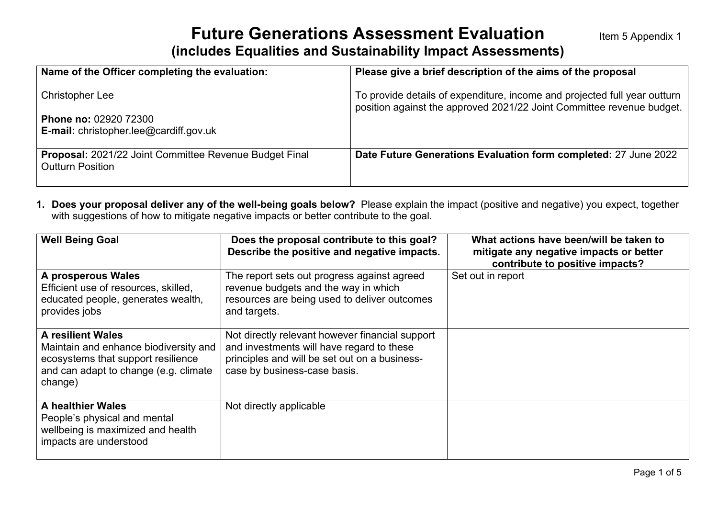# **Future Generations Assessment Evaluation (includes Equalities and Sustainability Impact Assessments)**

| Name of the Officer completing the evaluation:                                           | Please give a brief description of the aims of the proposal                                                                                        |
|------------------------------------------------------------------------------------------|----------------------------------------------------------------------------------------------------------------------------------------------------|
| <b>Christopher Lee</b>                                                                   | To provide details of expenditure, income and projected full year outturn<br>position against the approved 2021/22 Joint Committee revenue budget. |
| <b>Phone no: 02920 72300</b><br><b>E-mail:</b> christopher.lee@cardiff.gov.uk            |                                                                                                                                                    |
| <b>Proposal:</b> 2021/22 Joint Committee Revenue Budget Final<br><b>Outturn Position</b> | Date Future Generations Evaluation form completed: 27 June 2022                                                                                    |

**1. Does your proposal deliver any of the well-being goals below?** Please explain the impact (positive and negative) you expect, together with suggestions of how to mitigate negative impacts or better contribute to the goal.

| <b>Well Being Goal</b>                                                                                                                                      | Does the proposal contribute to this goal?<br>Describe the positive and negative impacts.                                                                                     | What actions have been/will be taken to<br>mitigate any negative impacts or better<br>contribute to positive impacts? |
|-------------------------------------------------------------------------------------------------------------------------------------------------------------|-------------------------------------------------------------------------------------------------------------------------------------------------------------------------------|-----------------------------------------------------------------------------------------------------------------------|
| A prosperous Wales<br>Efficient use of resources, skilled,<br>educated people, generates wealth,<br>provides jobs                                           | The report sets out progress against agreed<br>revenue budgets and the way in which<br>resources are being used to deliver outcomes<br>and targets.                           | Set out in report                                                                                                     |
| <b>A resilient Wales</b><br>Maintain and enhance biodiversity and<br>ecosystems that support resilience<br>and can adapt to change (e.g. climate<br>change) | Not directly relevant however financial support<br>and investments will have regard to these<br>principles and will be set out on a business-<br>case by business-case basis. |                                                                                                                       |
| <b>A healthier Wales</b><br>People's physical and mental<br>wellbeing is maximized and health<br>impacts are understood                                     | Not directly applicable                                                                                                                                                       |                                                                                                                       |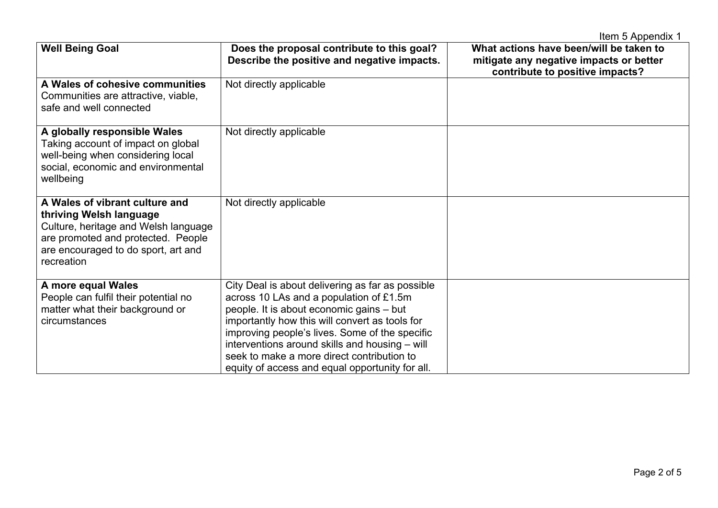|                                                                                                                                                                                              |                                                                                                                                                                                                                                                                                                                                                                                                | Item 5 Appendix 1                                                                                                     |
|----------------------------------------------------------------------------------------------------------------------------------------------------------------------------------------------|------------------------------------------------------------------------------------------------------------------------------------------------------------------------------------------------------------------------------------------------------------------------------------------------------------------------------------------------------------------------------------------------|-----------------------------------------------------------------------------------------------------------------------|
| <b>Well Being Goal</b>                                                                                                                                                                       | Does the proposal contribute to this goal?<br>Describe the positive and negative impacts.                                                                                                                                                                                                                                                                                                      | What actions have been/will be taken to<br>mitigate any negative impacts or better<br>contribute to positive impacts? |
| A Wales of cohesive communities<br>Communities are attractive, viable,<br>safe and well connected                                                                                            | Not directly applicable                                                                                                                                                                                                                                                                                                                                                                        |                                                                                                                       |
| A globally responsible Wales<br>Taking account of impact on global<br>well-being when considering local<br>social, economic and environmental<br>wellbeing                                   | Not directly applicable                                                                                                                                                                                                                                                                                                                                                                        |                                                                                                                       |
| A Wales of vibrant culture and<br>thriving Welsh language<br>Culture, heritage and Welsh language<br>are promoted and protected. People<br>are encouraged to do sport, art and<br>recreation | Not directly applicable                                                                                                                                                                                                                                                                                                                                                                        |                                                                                                                       |
| A more equal Wales<br>People can fulfil their potential no<br>matter what their background or<br>circumstances                                                                               | City Deal is about delivering as far as possible<br>across 10 LAs and a population of £1.5m<br>people. It is about economic gains - but<br>importantly how this will convert as tools for<br>improving people's lives. Some of the specific<br>interventions around skills and housing - will<br>seek to make a more direct contribution to<br>equity of access and equal opportunity for all. |                                                                                                                       |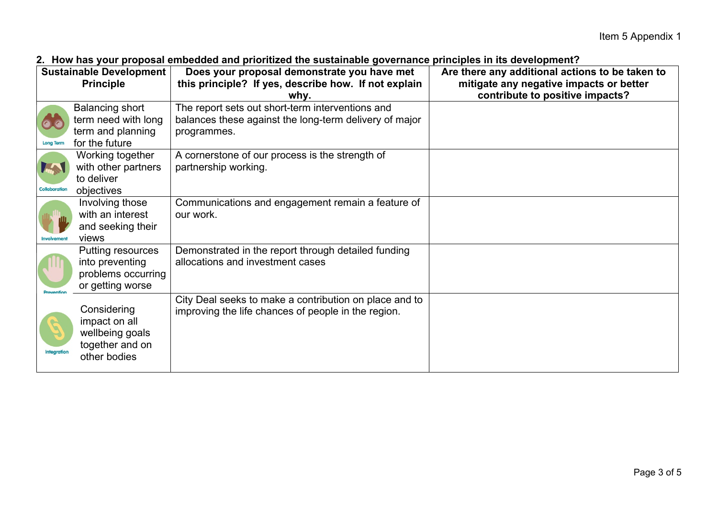| TIVII HAV JOAL PLOPOOA OMOOGOGA AHA PHOHALOG MO OGOGAHAMIO YOTOHIAHOO PHIIOIPIOO IN KO GOTOHOMICH<br>Does your proposal demonstrate you have met<br>Are there any additional actions to be taken to<br>Sustainable Development |                                                                                    |                                                                                                                           |                                                                            |  |
|--------------------------------------------------------------------------------------------------------------------------------------------------------------------------------------------------------------------------------|------------------------------------------------------------------------------------|---------------------------------------------------------------------------------------------------------------------------|----------------------------------------------------------------------------|--|
|                                                                                                                                                                                                                                | <b>Principle</b>                                                                   | this principle? If yes, describe how. If not explain<br>whv.                                                              | mitigate any negative impacts or better<br>contribute to positive impacts? |  |
| <b>Long Term</b>                                                                                                                                                                                                               | Balancing short<br>term need with long<br>term and planning<br>for the future      | The report sets out short-term interventions and<br>balances these against the long-term delivery of major<br>programmes. |                                                                            |  |
| M<br>Collaboration                                                                                                                                                                                                             | Working together<br>with other partners<br>to deliver<br>objectives                | A cornerstone of our process is the strength of<br>partnership working.                                                   |                                                                            |  |
| <b>Involvemen</b>                                                                                                                                                                                                              | Involving those<br>with an interest<br>and seeking their<br>views                  | Communications and engagement remain a feature of<br>our work.                                                            |                                                                            |  |
|                                                                                                                                                                                                                                | Putting resources<br>into preventing<br>problems occurring<br>or getting worse     | Demonstrated in the report through detailed funding<br>allocations and investment cases                                   |                                                                            |  |
| <b>Integration</b>                                                                                                                                                                                                             | Considering<br>impact on all<br>wellbeing goals<br>together and on<br>other bodies | City Deal seeks to make a contribution on place and to<br>improving the life chances of people in the region.             |                                                                            |  |

# **2. How has your proposal embedded and prioritized the sustainable governance principles in its development?**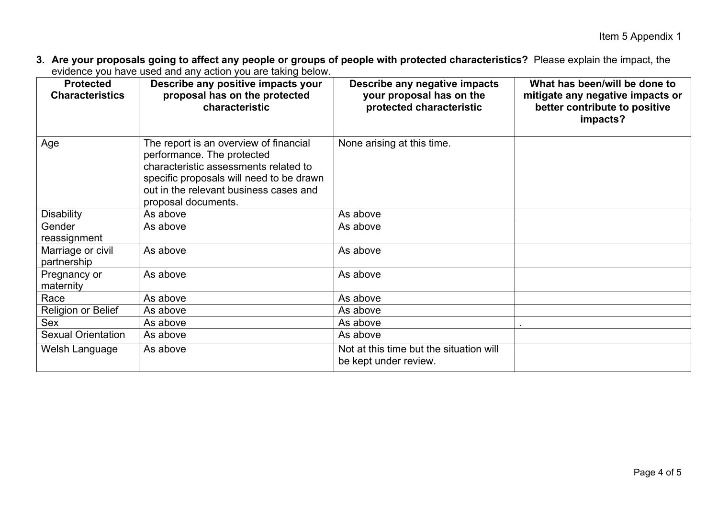**3. Are your proposals going to affect any people or groups of people with protected characteristics?** Please explain the impact, the evidence you have used and any action you are taking below.

| <b>Protected</b><br><b>Characteristics</b> | Describe any positive impacts your<br>proposal has on the protected<br>characteristic                                                                                                                                      | Describe any negative impacts<br>your proposal has on the<br>protected characteristic | What has been/will be done to<br>mitigate any negative impacts or<br>better contribute to positive<br>impacts? |
|--------------------------------------------|----------------------------------------------------------------------------------------------------------------------------------------------------------------------------------------------------------------------------|---------------------------------------------------------------------------------------|----------------------------------------------------------------------------------------------------------------|
| Age                                        | The report is an overview of financial<br>performance. The protected<br>characteristic assessments related to<br>specific proposals will need to be drawn<br>out in the relevant business cases and<br>proposal documents. | None arising at this time.                                                            |                                                                                                                |
| <b>Disability</b>                          | As above                                                                                                                                                                                                                   | As above                                                                              |                                                                                                                |
| Gender<br>reassignment                     | As above                                                                                                                                                                                                                   | As above                                                                              |                                                                                                                |
| Marriage or civil<br>partnership           | As above                                                                                                                                                                                                                   | As above                                                                              |                                                                                                                |
| Pregnancy or<br>maternity                  | As above                                                                                                                                                                                                                   | As above                                                                              |                                                                                                                |
| Race                                       | As above                                                                                                                                                                                                                   | As above                                                                              |                                                                                                                |
| <b>Religion or Belief</b>                  | As above                                                                                                                                                                                                                   | As above                                                                              |                                                                                                                |
| Sex                                        | As above                                                                                                                                                                                                                   | As above                                                                              |                                                                                                                |
| <b>Sexual Orientation</b>                  | As above                                                                                                                                                                                                                   | As above                                                                              |                                                                                                                |
| Welsh Language                             | As above                                                                                                                                                                                                                   | Not at this time but the situation will<br>be kept under review.                      |                                                                                                                |